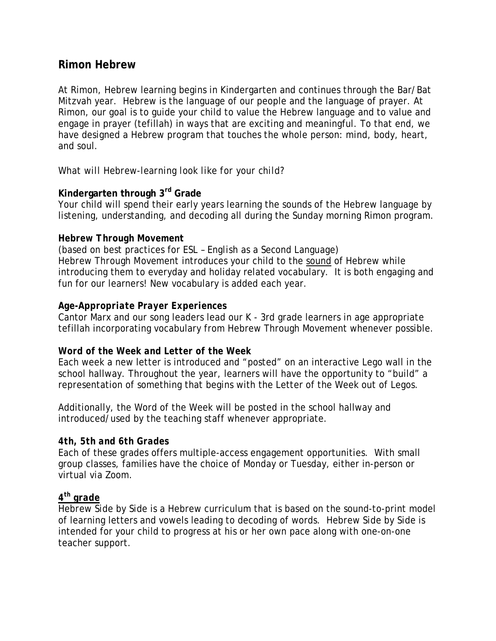# **Rimon Hebrew**

At Rimon, Hebrew learning begins in Kindergarten and continues through the Bar/Bat Mitzvah year. Hebrew is the language of our people and the language of prayer. At Rimon, our goal is to guide your child to value the Hebrew language and to value and engage in prayer (tefillah) in ways that are exciting and meaningful. To that end, we have designed a Hebrew program that touches the whole person: mind, body, heart, and soul.

## *What will Hebrew-learning look like for your child?*

# **Kindergarten through 3rd Grade**

Your child will spend their early years learning the sounds of the Hebrew language by listening, understanding, and decoding all during the Sunday morning Rimon program.

#### *Hebrew Through Movement*

(based on best practices for ESL – *English as a Second Language) Hebrew Through Movement* introduces your child to the sound of Hebrew while introducing them to everyday and holiday related vocabulary. It is both engaging and fun for our learners! New vocabulary is added each year.

## *Age-Appropriate Prayer Experiences*

Cantor Marx and our song leaders lead our K - 3rd grade learners in age appropriate tefillah incorporating vocabulary from Hebrew Through Movement whenever possible.

## *Word of the Week and Letter of the Week*

Each week a new letter is introduced and "posted" on an interactive Lego wall in the school hallway. Throughout the year, learners will have the opportunity to "build" a representation of something that begins with the Letter of the Week out of Legos.

Additionally, the Word of the Week will be posted in the school hallway and introduced/used by the teaching staff whenever appropriate.

#### *4th, 5th and 6th Grades*

Each of these grades offers multiple-access engagement opportunities. With small group classes, families have the choice of Monday or Tuesday, either in-person or virtual via Zoom.

# *4th grade*

*Hebrew Side by Side* is a Hebrew curriculum that is based on the sound-to-print model of learning letters and vowels leading to decoding of words. *Hebrew Side by Side* is intended for your child to progress at his or her own pace along with one-on-one teacher support.